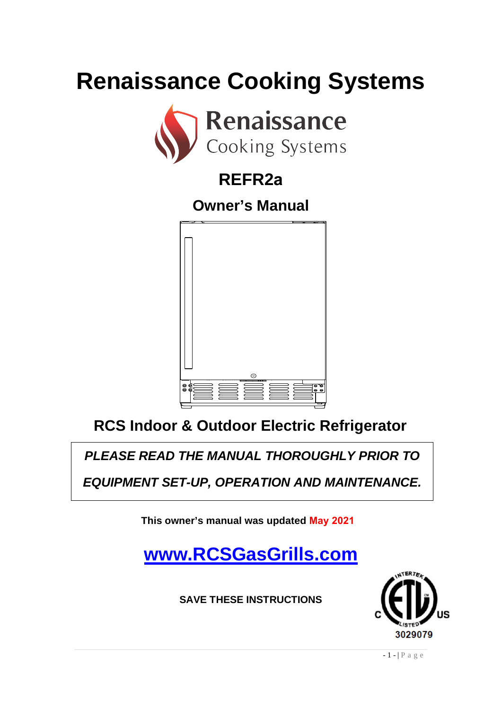# **Renaissance Cooking Systems**



# **REFR2a**

**Owner's Manual**



# **RCS Indoor & Outdoor Electric Refrigerator**

*PLEASE READ THE MANUAL THOROUGHLY PRIOR TO* 

*EQUIPMENT SET-UP, OPERATION AND MAINTENANCE.*

**This owner's manual was updated May 2021**

# **[www.RCSGasGrills.com](http://www.rcsgasgrills.com/)**

**SAVE THESE INSTRUCTIONS**



 $-1$  - | P a g e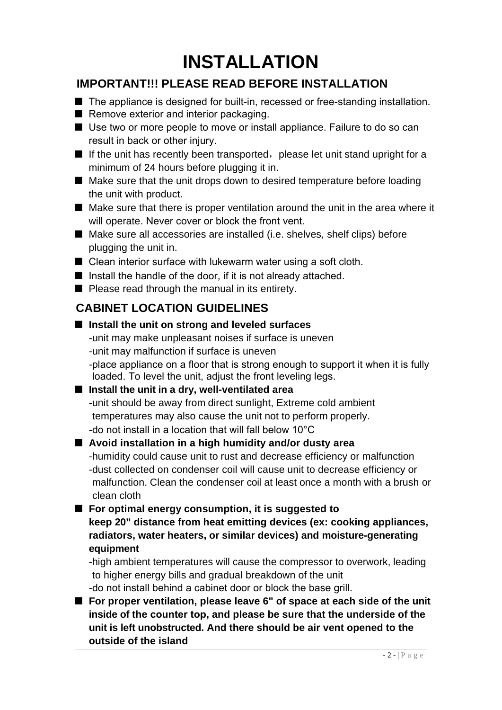# **INSTALLATION**

#### **IMPORTANT!!! PLEASE READ BEFORE INSTALLATION**

- The appliance is designed for built-in, recessed or free-standing installation.
- Remove exterior and interior packaging.
- Use two or more people to move or install appliance. Failure to do so can result in back or other injury.
- $\blacksquare$  If the unit has recently been transported, please let unit stand upright for a minimum of 24 hours before plugging it in.
- Make sure that the unit drops down to desired temperature before loading the unit with product.
- Make sure that there is proper ventilation around the unit in the area where it will operate. Never cover or block the front vent.
- Make sure all accessories are installed (i.e. shelves, shelf clips) before plugging the unit in.
- Clean interior surface with lukewarm water using a soft cloth.
- Install the handle of the door, if it is not already attached.
- Please read through the manual in its entirety.

## **CABINET LOCATION GUIDELINES**

## ■ **Install** the unit on strong and leveled surfaces

-unit may make unpleasant noises if surface is uneven -unit may malfunction if surface is uneven -place appliance on a floor that is strong enough to support it when it is fully loaded. To level the unit, adjust the front leveling legs.

## ■ **Install the unit in a dry, well-ventilated area**

-unit should be away from direct sunlight, Extreme cold ambient temperatures may also cause the unit not to perform properly. -do not install in a location that will fall below 10°C

#### ■ **Avoid installation in a high humidity and/or dusty area**

-humidity could cause unit to rust and decrease efficiency or malfunction -dust collected on condenser coil will cause unit to decrease efficiency or malfunction. Clean the condenser coil at least once a month with a brush or clean cloth

#### ■ **For optimal energy consumption, it is suggested to**

**keep 20" distance from heat emitting devices (ex: cooking appliances, radiators, water heaters, or similar devices) and moisture-generating equipment**

-high ambient temperatures will cause the compressor to overwork, leading to higher energy bills and gradual breakdown of the unit

-do not install behind a cabinet door or block the base grill.

■ **For proper ventilation, please leave 6" of space at each side of the unit inside of the counter top, and please be sure that the underside of the unit is left unobstructed. And there should be air vent opened to the outside of the island**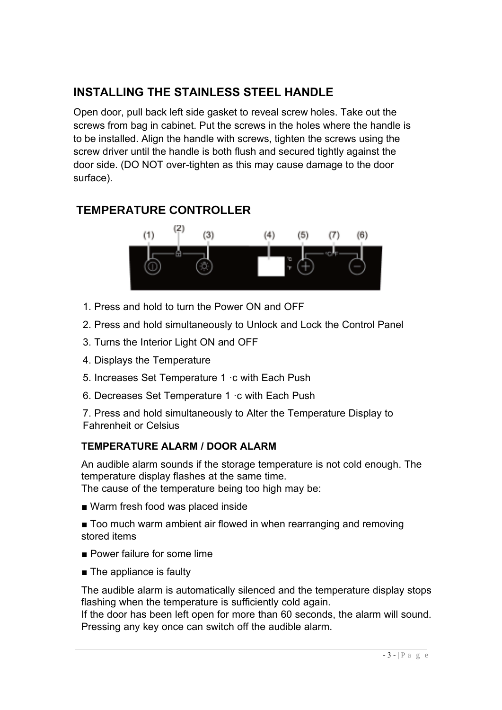#### **INSTALLING THE STAINLESS STEEL HANDLE**

Open door, pull back left side gasket to reveal screw holes. Take out the screws from bag in cabinet. Put the screws in the holes where the handle is to be installed. Align the handle with screws, tighten the screws using the screw driver until the handle is both flush and secured tightly against the door side. (DO NOT over-tighten as this may cause damage to the door surface).

#### **TEMPERATURE CONTROLLER**



- 1. Press and hold to turn the Power ON and OFF
- 2. Press and hold simultaneously to Unlock and Lock the Control Panel
- 3. Turns the Interior Light ON and OFF
- 4. Displays the Temperature
- 5. Increases Set Temperature 1 ·c with Each Push
- 6. Decreases Set Temperature 1 ·c with Each Push

7. Press and hold simultaneously to Alter the Temperature Display to Fahrenheit or Celsius

#### **TEMPERATURE ALARM / DOOR ALARM**

An audible alarm sounds if the storage temperature is not cold enough. The temperature display flashes at the same time.

The cause of the temperature being too high may be:

- Warm fresh food was placed inside
- Too much warm ambient air flowed in when rearranging and removing stored items
- Power failure for some lime
- The appliance is faulty

The audible alarm is automatically silenced and the temperature display stops flashing when the temperature is sufficiently cold again.

If the door has been left open for more than 60 seconds, the alarm will sound. Pressing any key once can switch off the audible alarm.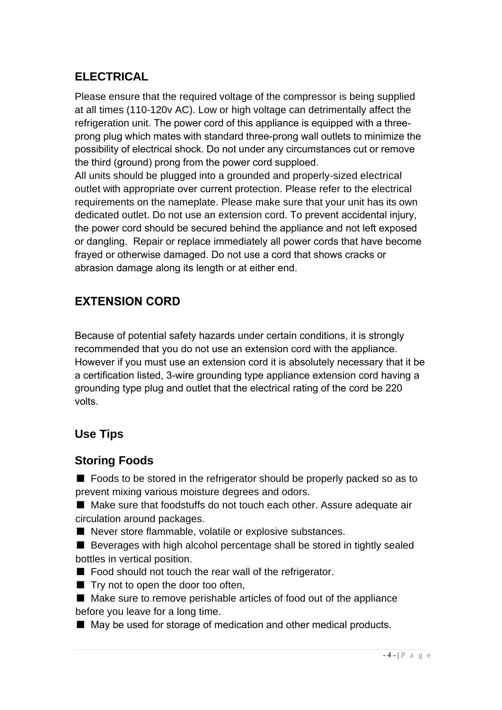## **ELECTRICAL**

Please ensure that the required voltage of the compressor is being supplied at all times (110-120v AC). Low or high voltage can detrimentally affect the refrigeration unit. The power cord of this appliance is equipped with a threeprong plug which mates with standard three-prong wall outlets to minimize the possibility of electrical shock. Do not under any circumstances cut or remove the third (ground) prong from the power cord supploed.

All units should be plugged into a grounded and properly-sized electrical outlet with appropriate over current protection. Please refer to the electrical requirements on the nameplate. Please make sure that your unit has its own dedicated outlet. Do not use an extension cord. To prevent accidental injury, the power cord should be secured behind the appliance and not left exposed or dangling. Repair or replace immediately all power cords that have become frayed or otherwise damaged. Do not use a cord that shows cracks or abrasion damage along its length or at either end.

#### **EXTENSION CORD**

Because of potential safety hazards under certain conditions, it is strongly recommended that you do not use an extension cord with the appliance. However if you must use an extension cord it is absolutely necessary that it be a certification listed, 3-wire grounding type appliance extension cord having a grounding type plug and outlet that the electrical rating of the cord be 220 volts.

#### **Use Tips**

#### **Storing Foods**

■ Foods to be stored in the refrigerator should be properly packed so as to prevent mixing various moisture degrees and odors.

■ Make sure that foodstuffs do not touch each other. Assure adequate air circulation around packages.

■ Never store flammable, volatile or explosive substances.

■ Beverages with high alcohol percentage shall be stored in tightly sealed bottles in vertical position.

■ Food should not touch the rear wall of the refrigerator.

■ Try not to open the door too often,

■ Make sure to remove perishable articles of food out of the appliance before you leave for a long time.

■ May be used for storage of medication and other medical products.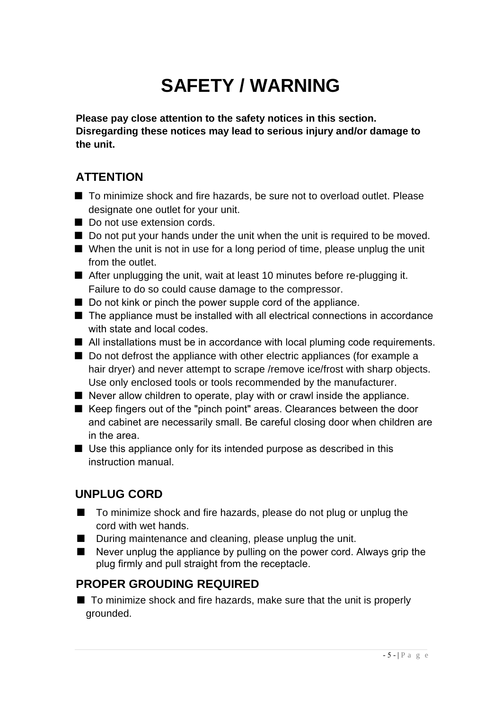# **SAFETY / WARNING**

**Please pay close attention to the safety notices in this section. Disregarding these notices may lead to serious injury and/or damage to the unit.**

#### **ATTENTION**

- To minimize shock and fire hazards, be sure not to overload outlet. Please designate one outlet for your unit.
- Do not use extension cords.
- Do not put your hands under the unit when the unit is required to be moved.
- When the unit is not in use for a long period of time, please unplug the unit from the outlet.
- After unplugging the unit, wait at least 10 minutes before re-plugging it. Failure to do so could cause damage to the compressor.
- Do not kink or pinch the power supple cord of the appliance.
- The appliance must be installed with all electrical connections in accordance with state and local codes.
- All installations must be in accordance with local pluming code requirements.
- Do not defrost the appliance with other electric appliances (for example a hair dryer) and never attempt to scrape /remove ice/frost with sharp objects. Use only enclosed tools or tools recommended by the manufacturer.
- Never allow children to operate, play with or crawl inside the appliance.
- Keep fingers out of the "pinch point" areas. Clearances between the door and cabinet are necessarily small. Be careful closing door when children are in the area.
- Use this appliance only for its intended purpose as described in this instruction manual.

## **UNPLUG CORD**

- To minimize shock and fire hazards, please do not plug or unplug the cord with wet hands.
- During maintenance and cleaning, please unplug the unit.
- Never unplug the appliance by pulling on the power cord. Always grip the plug firmly and pull straight from the receptacle.

#### **PROPER GROUDING REQUIRED**

■ To minimize shock and fire hazards, make sure that the unit is properly grounded.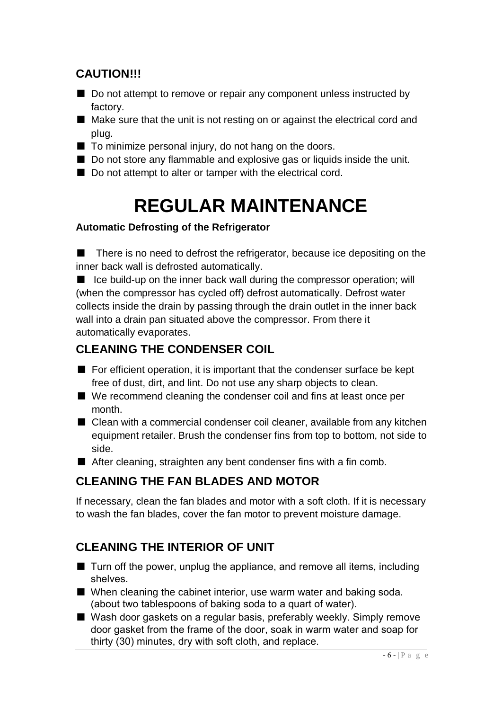#### **CAUTION!!!**

- Do not attempt to remove or repair any component unless instructed by factory.
- Make sure that the unit is not resting on or against the electrical cord and plug.
- To minimize personal injury, do not hang on the doors.
- Do not store any flammable and explosive gas or liquids inside the unit.
- Do not attempt to alter or tamper with the electrical cord.

# **REGULAR MAINTENANCE**

#### **Automatic Defrosting of the Refrigerator**

■ There is no need to defrost the refrigerator, because ice depositing on the inner back wall is defrosted automatically.

■ Ice build-up on the inner back wall during the compressor operation; will (when the compressor has cycled off) defrost automatically. Defrost water collects inside the drain by passing through the drain outlet in the inner back wall into a drain pan situated above the compressor. From there it automatically evaporates.

#### **CLEANING THE CONDENSER COIL**

- For efficient operation, it is important that the condenser surface be kept free of dust, dirt, and lint. Do not use any sharp objects to clean.
- We recommend cleaning the condenser coil and fins at least once per month.
- Clean with a commercial condenser coil cleaner, available from any kitchen equipment retailer. Brush the condenser fins from top to bottom, not side to side.
- After cleaning, straighten any bent condenser fins with a fin comb.

## **CLEANING THE FAN BLADES AND MOTOR**

If necessary, clean the fan blades and motor with a soft cloth. If it is necessary to wash the fan blades, cover the fan motor to prevent moisture damage.

## **CLEANING THE INTERIOR OF UNIT**

- Turn off the power, unplug the appliance, and remove all items, including shelves.
- When cleaning the cabinet interior, use warm water and baking soda. (about two tablespoons of baking soda to a quart of water).
- Wash door gaskets on a regular basis, preferably weekly. Simply remove door gasket from the frame of the door, soak in warm water and soap for thirty (30) minutes, dry with soft cloth, and replace.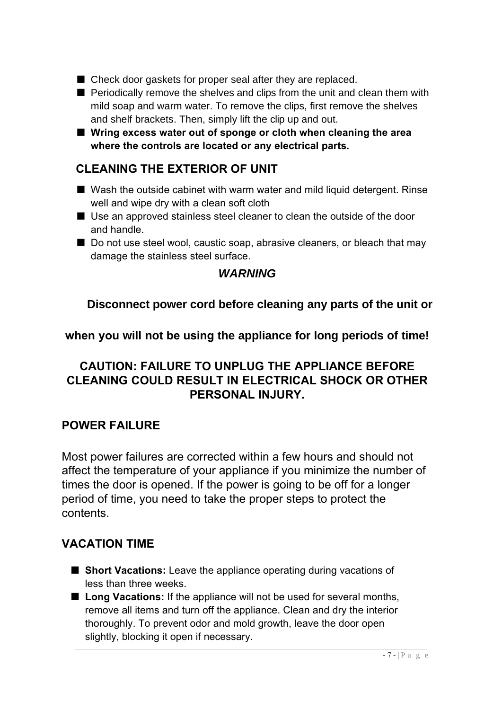- Check door gaskets for proper seal after they are replaced.
- Periodically remove the shelves and clips from the unit and clean them with mild soap and warm water. To remove the clips, first remove the shelves and shelf brackets. Then, simply lift the clip up and out.
- Wring excess water out of sponge or cloth when cleaning the area **where the controls are located or any electrical parts.**

#### **CLEANING THE EXTERIOR OF UNIT**

- Wash the outside cabinet with warm water and mild liquid detergent. Rinse well and wipe dry with a clean soft cloth
- Use an approved stainless steel cleaner to clean the outside of the door and handle.
- Do not use steel wool, caustic soap, abrasive cleaners, or bleach that may damage the stainless steel surface.

#### *WARNING*

**Disconnect power cord before cleaning any parts of the unit or** 

**when you will not be using the appliance for long periods of time!** 

#### **CAUTION: FAILURE TO UNPLUG THE APPLIANCE BEFORE CLEANING COULD RESULT IN ELECTRICAL SHOCK OR OTHER PERSONAL INJURY.**

#### **POWER FAILURE**

Most power failures are corrected within a few hours and should not affect the temperature of your appliance if you minimize the number of times the door is opened. If the power is going to be off for a longer period of time, you need to take the proper steps to protect the contents.

#### **VACATION TIME**

- **Short Vacations:** Leave the appliance operating during vacations of less than three weeks.
- **Long Vacations:** If the appliance will not be used for several months, remove all items and turn off the appliance. Clean and dry the interior thoroughly. To prevent odor and mold growth, leave the door open slightly, blocking it open if necessary.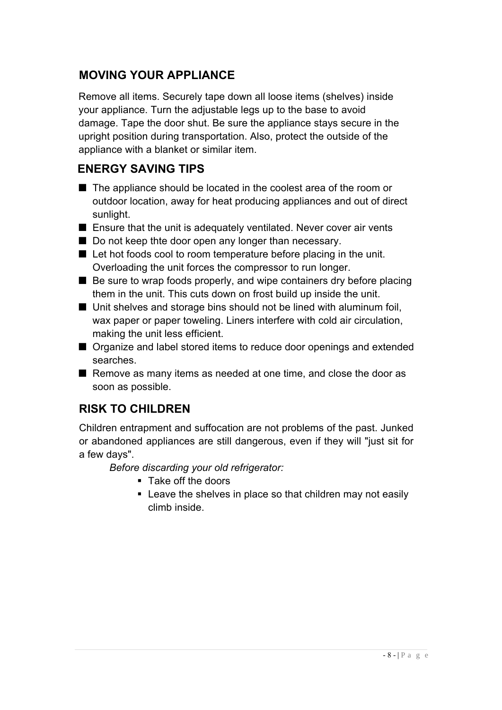#### **MOVING YOUR APPLIANCE**

Remove all items. Securely tape down all loose items (shelves) inside your appliance. Turn the adjustable legs up to the base to avoid damage. Tape the door shut. Be sure the appliance stays secure in the upright position during transportation. Also, protect the outside of the appliance with a blanket or similar item.

#### **ENERGY SAVING TIPS**

- The appliance should be located in the coolest area of the room or outdoor location, away for heat producing appliances and out of direct sunlight.
- Ensure that the unit is adequately ventilated. Never cover air vents
- Do not keep thte door open any longer than necessary.
- Let hot foods cool to room temperature before placing in the unit. Overloading the unit forces the compressor to run longer.
- Be sure to wrap foods properly, and wipe containers dry before placing them in the unit. This cuts down on frost build up inside the unit.
- Unit shelves and storage bins should not be lined with aluminum foil, wax paper or paper toweling. Liners interfere with cold air circulation, making the unit less efficient.
- Organize and label stored items to reduce door openings and extended searches.
- Remove as many items as needed at one time, and close the door as soon as possible.

## **RISK TO CHILDREN**

Children entrapment and suffocation are not problems of the past. Junked or abandoned appliances are still dangerous, even if they will "just sit for a few days".

*Before discarding your old refrigerator:*

- **Take off the doors**
- **EXECT:** Leave the shelves in place so that children may not easily climb inside.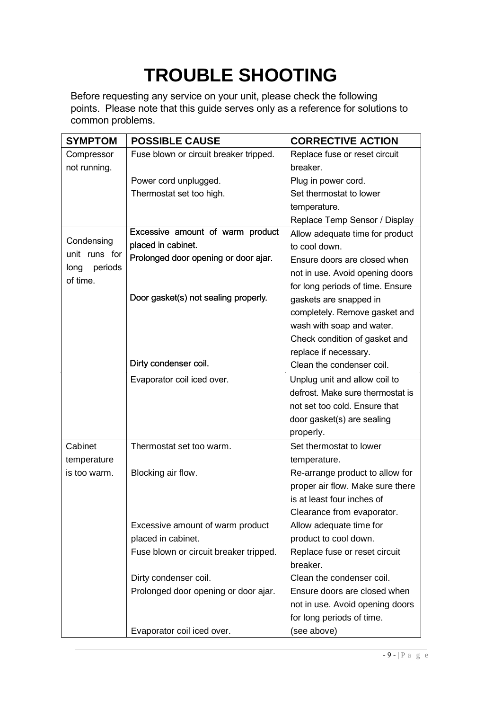# **TROUBLE SHOOTING**

Before requesting any service on your unit, please check the following points. Please note that this guide serves only as a reference for solutions to common problems.

| <b>SYMPTOM</b>  | <b>POSSIBLE CAUSE</b>                  | <b>CORRECTIVE ACTION</b>                         |  |
|-----------------|----------------------------------------|--------------------------------------------------|--|
| Compressor      | Fuse blown or circuit breaker tripped. | Replace fuse or reset circuit                    |  |
| not running.    |                                        | breaker.                                         |  |
|                 | Power cord unplugged.                  | Plug in power cord.                              |  |
|                 | Thermostat set too high.               | Set thermostat to lower                          |  |
|                 |                                        | temperature.                                     |  |
|                 |                                        | Replace Temp Sensor / Display                    |  |
|                 | Excessive amount of warm product       | Allow adequate time for product<br>to cool down. |  |
| Condensing      | placed in cabinet.                     |                                                  |  |
| unit runs for   | Prolonged door opening or door ajar.   | Ensure doors are closed when                     |  |
| long<br>periods |                                        | not in use. Avoid opening doors                  |  |
| of time.        |                                        | for long periods of time. Ensure                 |  |
|                 | Door gasket(s) not sealing properly.   | gaskets are snapped in                           |  |
|                 |                                        | completely. Remove gasket and                    |  |
|                 |                                        | wash with soap and water.                        |  |
|                 |                                        | Check condition of gasket and                    |  |
|                 |                                        | replace if necessary.                            |  |
|                 | Dirty condenser coil.                  | Clean the condenser coil.                        |  |
|                 | Evaporator coil iced over.             | Unplug unit and allow coil to                    |  |
|                 |                                        | defrost. Make sure thermostat is                 |  |
|                 |                                        | not set too cold. Ensure that                    |  |
|                 |                                        | door gasket(s) are sealing                       |  |
|                 |                                        | properly.                                        |  |
| Cabinet         | Thermostat set too warm.               | Set thermostat to lower                          |  |
| temperature     |                                        | temperature.                                     |  |
| is too warm.    | Blocking air flow.                     | Re-arrange product to allow for                  |  |
|                 |                                        | proper air flow. Make sure there                 |  |
|                 |                                        | is at least four inches of                       |  |
|                 |                                        | Clearance from evaporator.                       |  |
|                 | Excessive amount of warm product       | Allow adequate time for                          |  |
|                 | placed in cabinet.                     | product to cool down.                            |  |
|                 | Fuse blown or circuit breaker tripped. | Replace fuse or reset circuit                    |  |
|                 |                                        | breaker.                                         |  |
|                 | Dirty condenser coil.                  | Clean the condenser coil.                        |  |
|                 | Prolonged door opening or door ajar.   | Ensure doors are closed when                     |  |
|                 |                                        | not in use. Avoid opening doors                  |  |
|                 |                                        | for long periods of time.                        |  |
|                 | Evaporator coil iced over.             | (see above)                                      |  |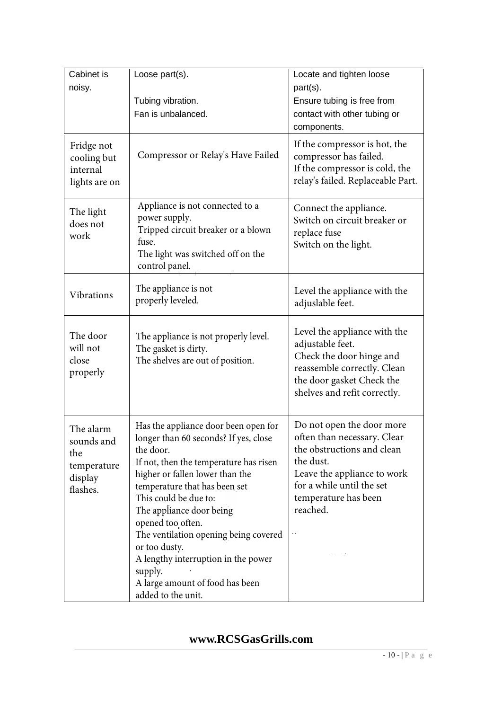| Cabinet is                                                           | Loose part(s).                                                                                                                                                                                                                                                                                                                                                                                                                                          | Locate and tighten loose                                                                                                                                                                            |  |
|----------------------------------------------------------------------|---------------------------------------------------------------------------------------------------------------------------------------------------------------------------------------------------------------------------------------------------------------------------------------------------------------------------------------------------------------------------------------------------------------------------------------------------------|-----------------------------------------------------------------------------------------------------------------------------------------------------------------------------------------------------|--|
| noisy.                                                               | Tubing vibration.                                                                                                                                                                                                                                                                                                                                                                                                                                       | part(s).<br>Ensure tubing is free from                                                                                                                                                              |  |
|                                                                      | Fan is unbalanced.                                                                                                                                                                                                                                                                                                                                                                                                                                      | contact with other tubing or<br>components.                                                                                                                                                         |  |
| Fridge not<br>cooling but<br>internal<br>lights are on               | Compressor or Relay's Have Failed                                                                                                                                                                                                                                                                                                                                                                                                                       | If the compressor is hot, the<br>compressor has failed.<br>If the compressor is cold, the<br>relay's failed. Replaceable Part.                                                                      |  |
| The light<br>does not<br>work                                        | Appliance is not connected to a<br>power supply.<br>Tripped circuit breaker or a blown<br>fuse.<br>The light was switched off on the<br>control panel.                                                                                                                                                                                                                                                                                                  | Connect the appliance.<br>Switch on circuit breaker or<br>replace fuse<br>Switch on the light.                                                                                                      |  |
| Vibrations                                                           | The appliance is not<br>properly leveled.                                                                                                                                                                                                                                                                                                                                                                                                               | Level the appliance with the<br>adjuslable feet.                                                                                                                                                    |  |
| The door<br>will not<br>close<br>properly                            | The appliance is not properly level.<br>The gasket is dirty.<br>The shelves are out of position.                                                                                                                                                                                                                                                                                                                                                        | Level the appliance with the<br>adjustable feet.<br>Check the door hinge and<br>reassemble correctly. Clean<br>the door gasket Check the<br>shelves and refit correctly.                            |  |
| The alarm<br>sounds and<br>the<br>temperature<br>display<br>flashes. | Has the appliance door been open for<br>longer than 60 seconds? If yes, close<br>the door.<br>If not, then the temperature has risen<br>higher or fallen lower than the<br>temperature that has been set<br>This could be due to:<br>The appliance door being<br>opened too often.<br>The ventilation opening being covered<br>or too dusty.<br>A lengthy interruption in the power<br>supply.<br>A large amount of food has been<br>added to the unit. | Do not open the door more<br>often than necessary. Clear<br>the obstructions and clean<br>the dust.<br>Leave the appliance to work<br>for a while until the set<br>temperature has been<br>reached. |  |

#### **www.RCSGasGrills.com**